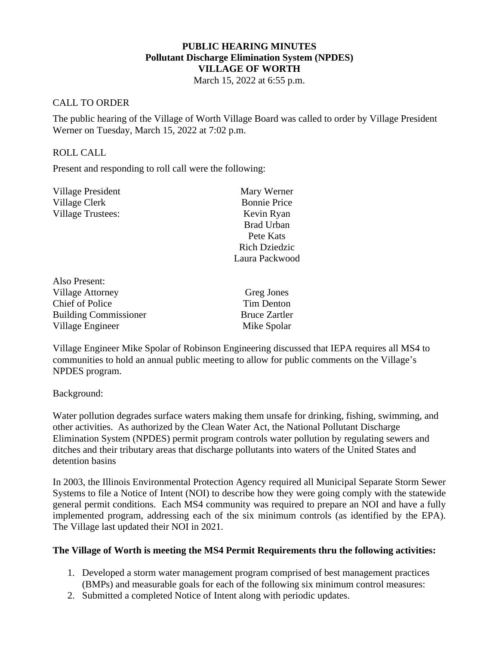## **PUBLIC HEARING MINUTES Pollutant Discharge Elimination System (NPDES) VILLAGE OF WORTH**

March 15, 2022 at 6:55 p.m.

## CALL TO ORDER

The public hearing of the Village of Worth Village Board was called to order by Village President Werner on Tuesday, March 15, 2022 at 7:02 p.m.

## ROLL CALL

Present and responding to roll call were the following:

| Village President        | Mary Werner          |
|--------------------------|----------------------|
| Village Clerk            | <b>Bonnie Price</b>  |
| <b>Village Trustees:</b> | Kevin Ryan           |
|                          | <b>Brad Urban</b>    |
|                          | Pete Kats            |
|                          | <b>Rich Dziedzic</b> |
|                          | Laura Packwood       |
|                          |                      |

Greg Jones Tim Denton Bruce Zartler Mike Spolar

Village Engineer Mike Spolar of Robinson Engineering discussed that IEPA requires all MS4 to communities to hold an annual public meeting to allow for public comments on the Village's NPDES program.

Background:

Water pollution degrades surface waters making them unsafe for drinking, fishing, swimming, and other activities. As authorized by the Clean Water Act, the National Pollutant Discharge Elimination System (NPDES) permit program controls water pollution by regulating sewers and ditches and their tributary areas that discharge pollutants into waters of the United States and detention basins

In 2003, the Illinois Environmental Protection Agency required all Municipal Separate Storm Sewer Systems to file a Notice of Intent (NOI) to describe how they were going comply with the statewide general permit conditions. Each MS4 community was required to prepare an NOI and have a fully implemented program, addressing each of the six minimum controls (as identified by the EPA). The Village last updated their NOI in 2021.

## **The Village of Worth is meeting the MS4 Permit Requirements thru the following activities:**

- 1. Developed a storm water management program comprised of best management practices (BMPs) and measurable goals for each of the following six minimum control measures:
- 2. Submitted a completed Notice of Intent along with periodic updates.